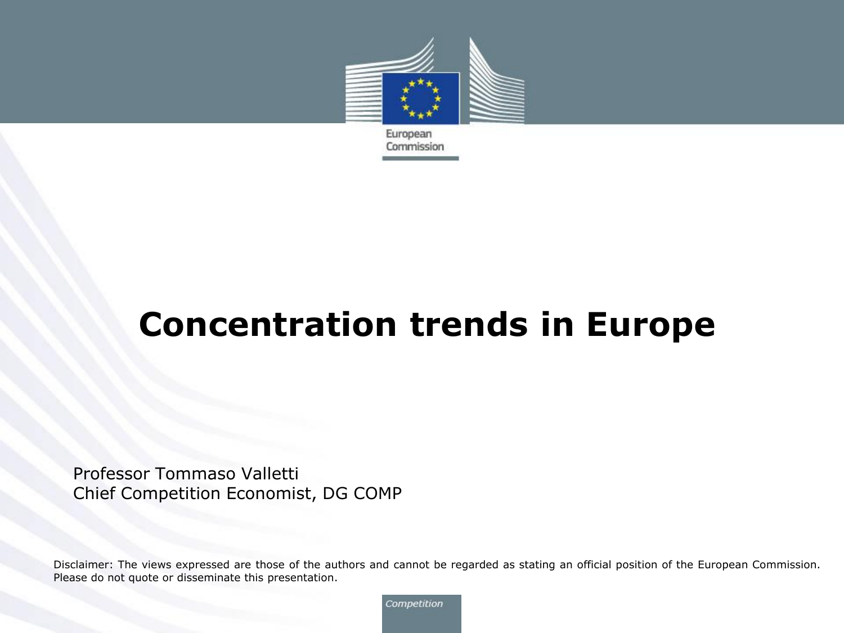

Commission

**Concentration trends in Europe** 

Professor Tommaso Valletti Chief Competition Economist, DG COMP

Disclaimer: The views expressed are those of the authors and cannot be regarded as stating an official position of the European Commission. Please do not quote or disseminate this presentation.

Competition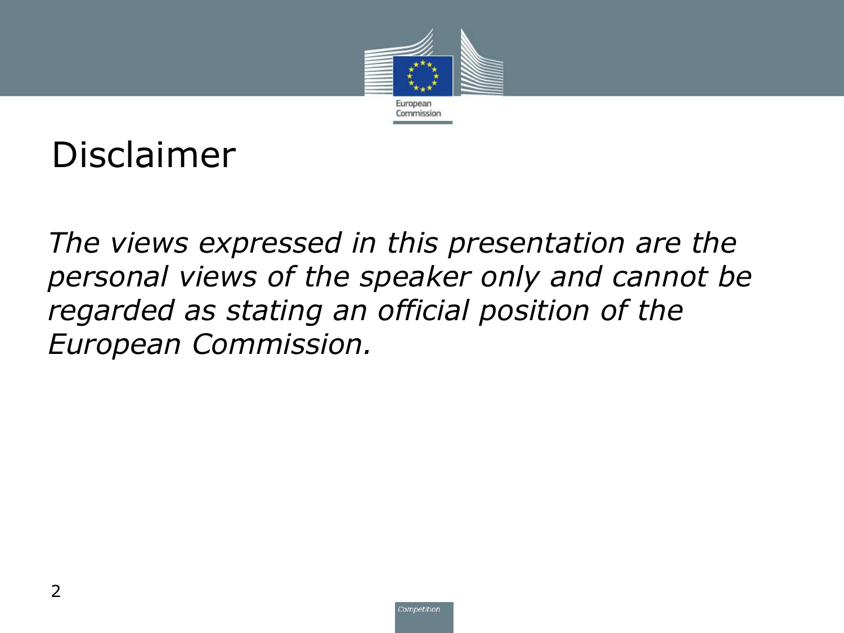

Disclaimer

• *The views expressed in this presentation are the personal views of the speaker only and cannot be regarded as stating an official position of the European Commission.*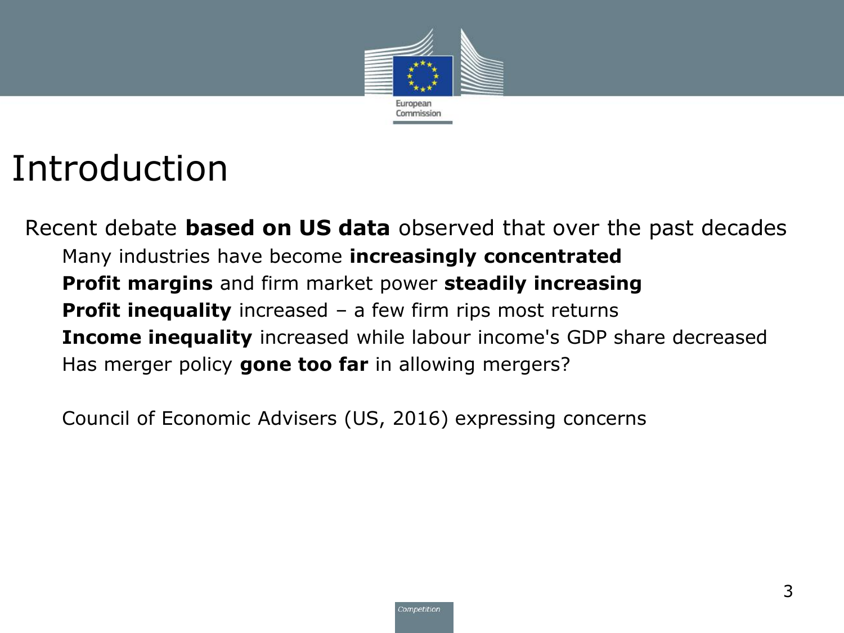

### Introduction

Recent debate **based on US data** observed that over the past decades Many industries have become **increasingly concentrated Profit margins** and firm market power **steadily increasing Profit inequality** increased – a few firm rips most returns **Income inequality** increased while labour income's GDP share decreased Has merger policy **gone too far** in allowing mergers?

Council of Economic Advisers (US, 2016) expressing concerns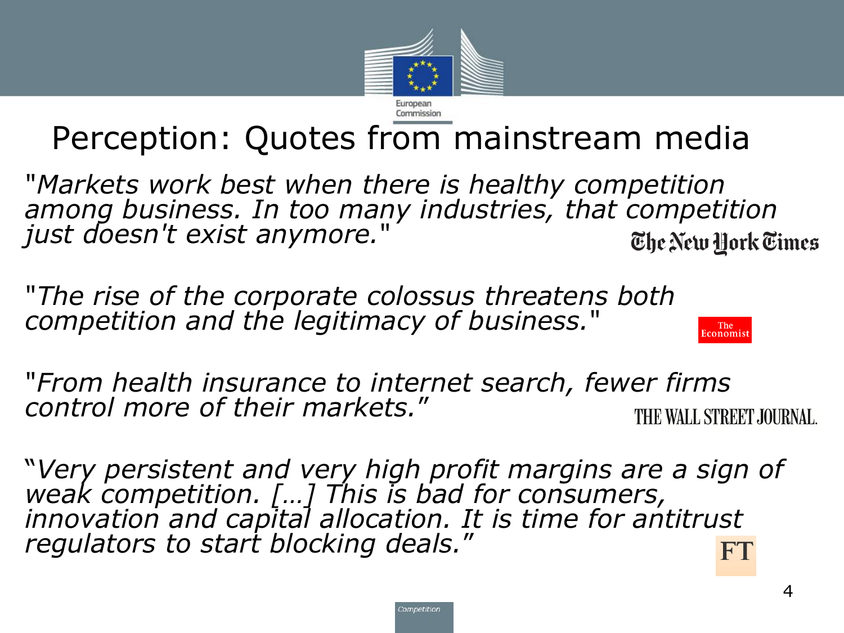

### Perception: Quotes from mainstream media

"*Markets work best when there is healthy competition among business. In too many industries, that competition just doesn't exist anymore.*" The New York Times

"*The rise of the corporate colossus threatens both competition and the legitimacy of business.*"

"*From health insurance to internet search, fewer firms control more of their markets.*" THE WALL STREET JOURNAL.

"*Very persistent and very high profit margins are a sign of weak competition. […] This is bad for consumers, innovation and capital allocation. It is time for antitrust regulators to start blocking deals.*"

The<br>Economist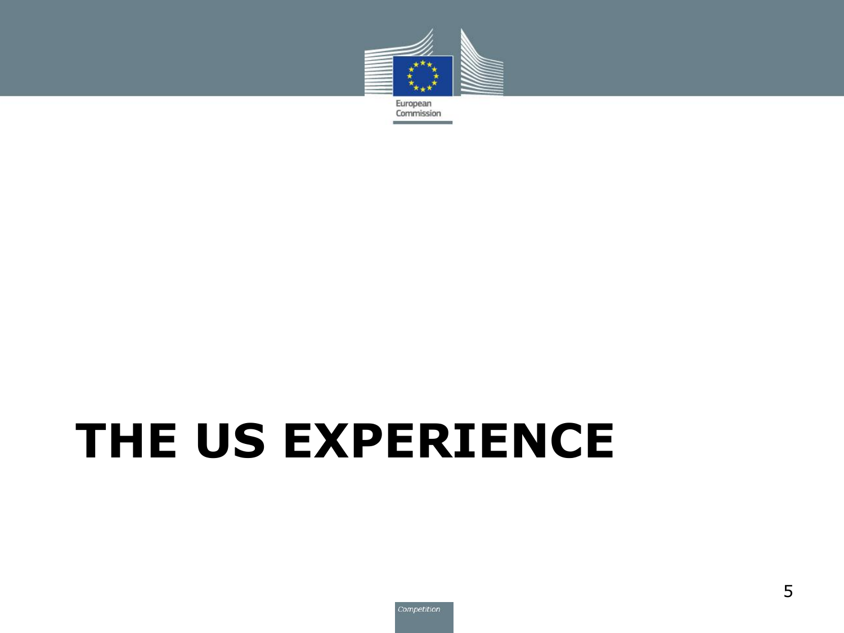

# **THE US EXPERIENCE**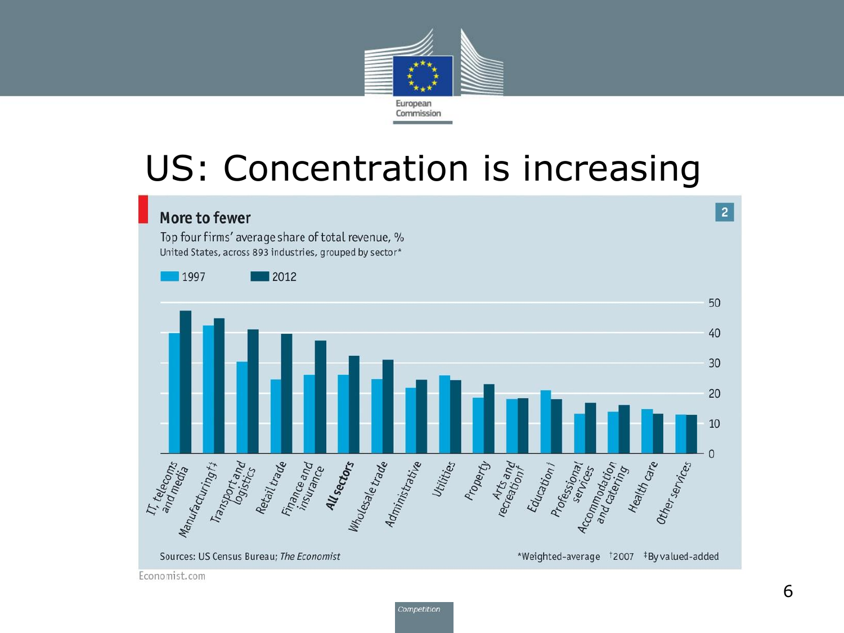

### US: Concentration is increasing

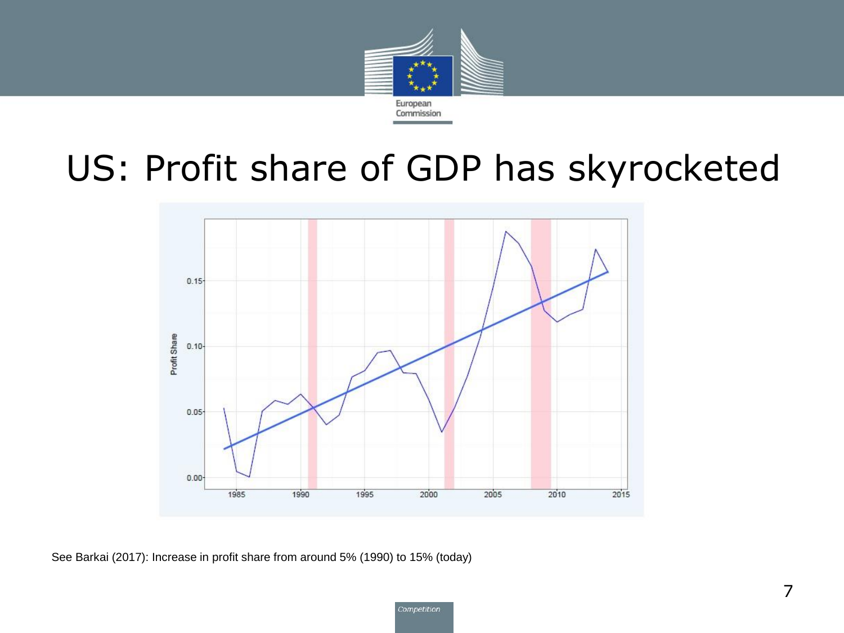

### US: Profit share of GDP has skyrocketed



See Barkai (2017): Increase in profit share from around 5% (1990) to 15% (today)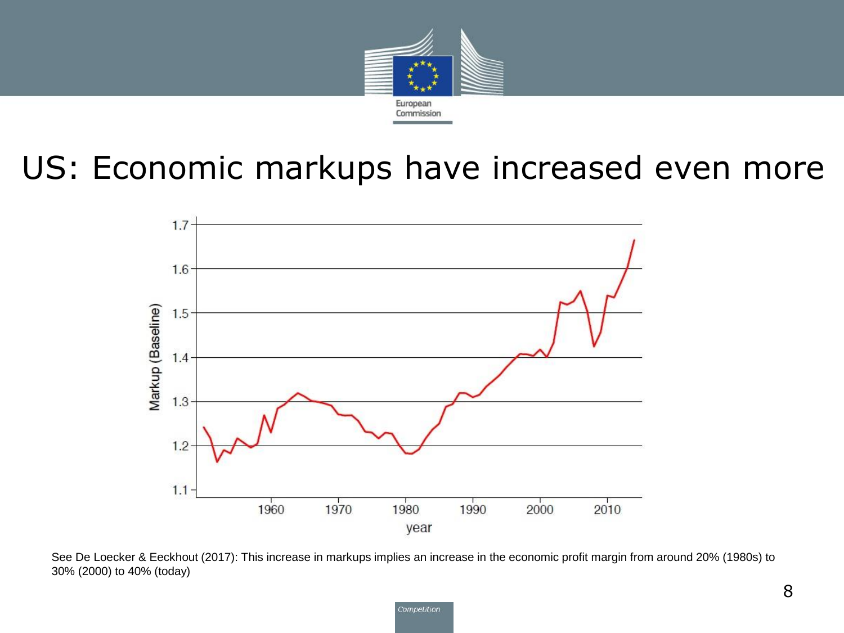

#### US: Economic markups have increased even more



See De Loecker & Eeckhout (2017): This increase in markups implies an increase in the economic profit margin from around 20% (1980s) to 30% (2000) to 40% (today)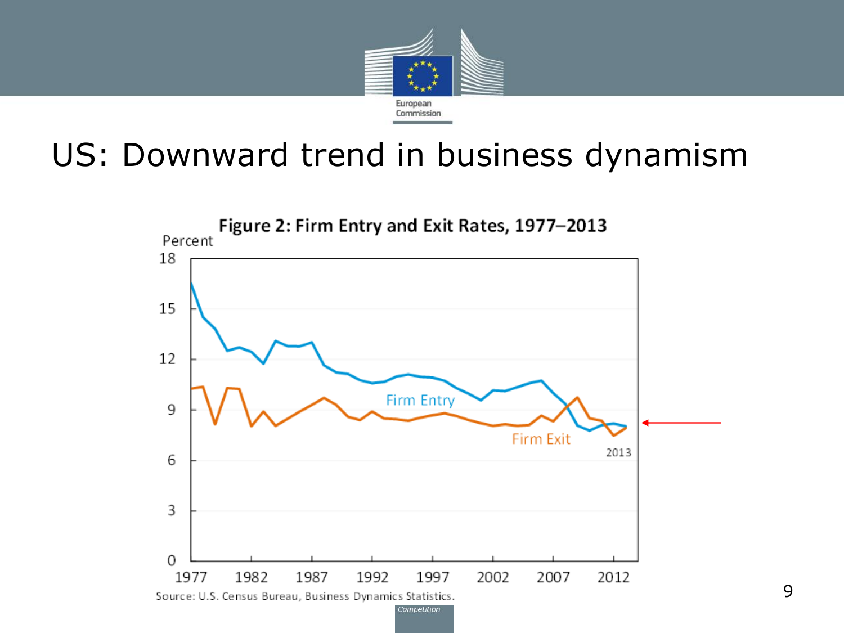

### US: Downward trend in business dynamism

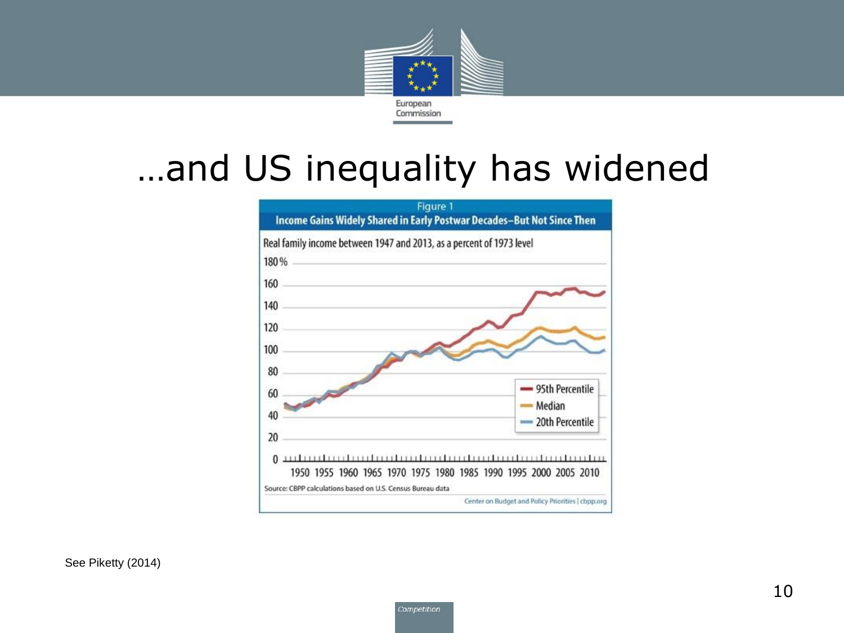

### …and US inequality has widened



See Piketty (2014)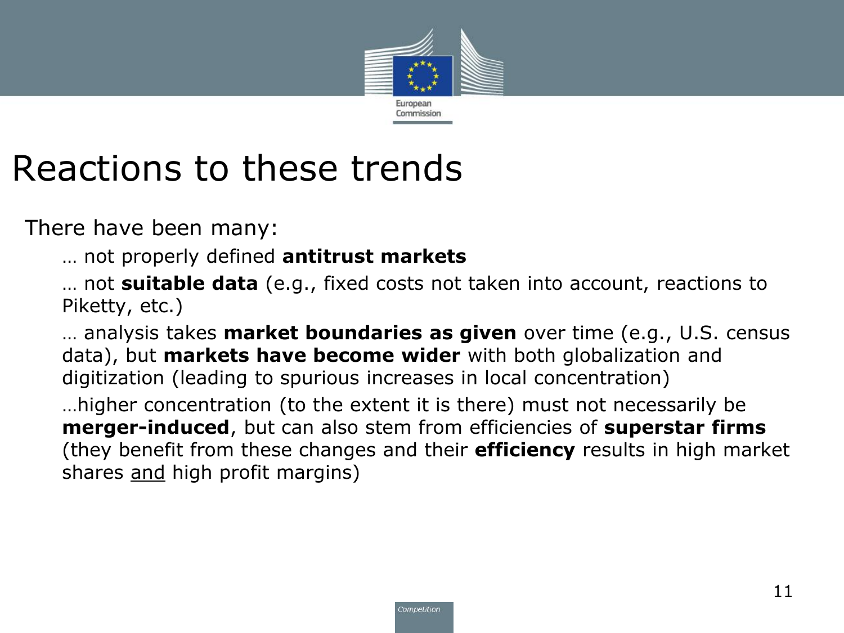

### Reactions to these trends

There have been many:

… not properly defined **antitrust markets**

… not **suitable data** (e.g., fixed costs not taken into account, reactions to Piketty, etc.)

… analysis takes **market boundaries as given** over time (e.g., U.S. census data), but **markets have become wider** with both globalization and digitization (leading to spurious increases in local concentration)

…higher concentration (to the extent it is there) must not necessarily be **merger-induced**, but can also stem from efficiencies of **superstar firms**  (they benefit from these changes and their **efficiency** results in high market shares and high profit margins)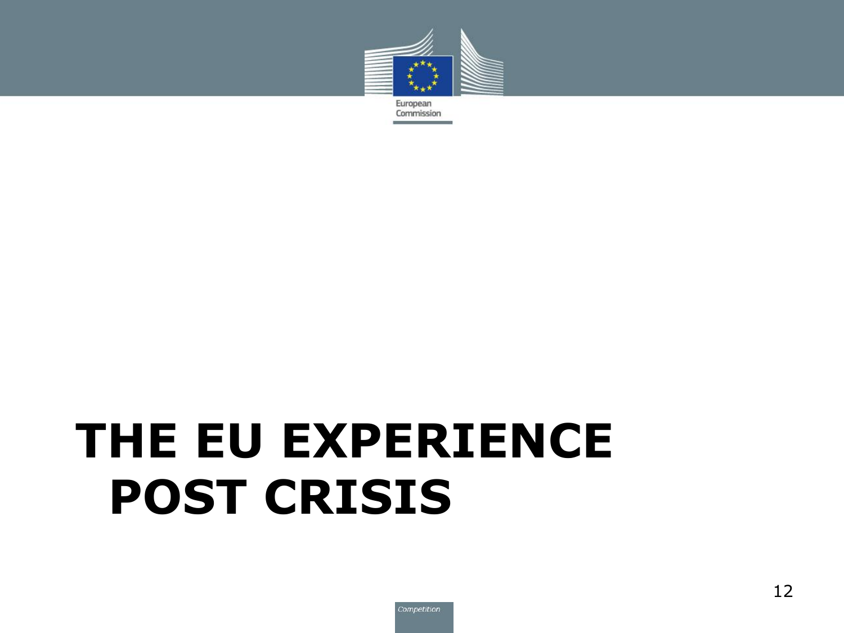

# **THE EU EXPERIENCE POST CRISIS**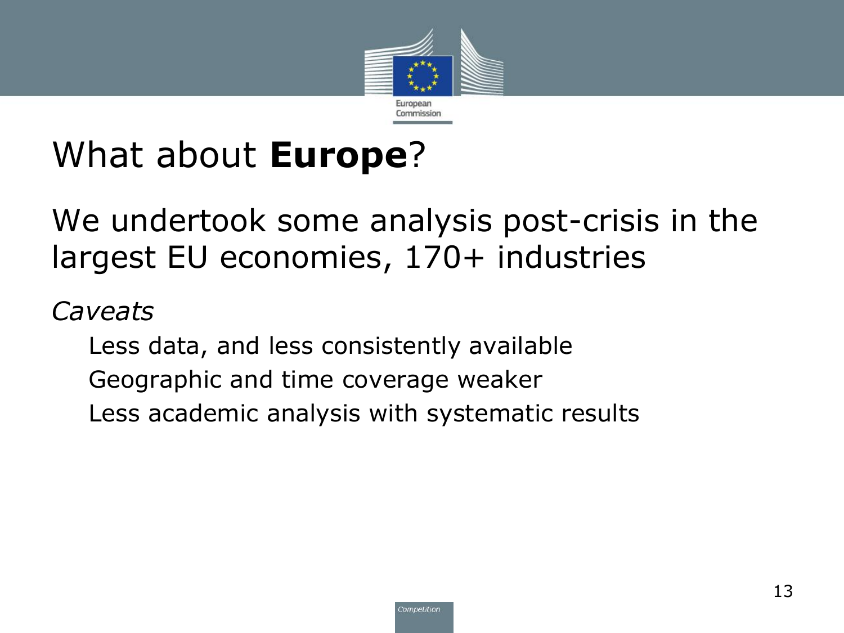

### What about **Europe**?

#### We undertook some analysis post-crisis in the largest EU economies, 170+ industries

#### *Caveats*

Less data, and less consistently available Geographic and time coverage weaker Less academic analysis with systematic results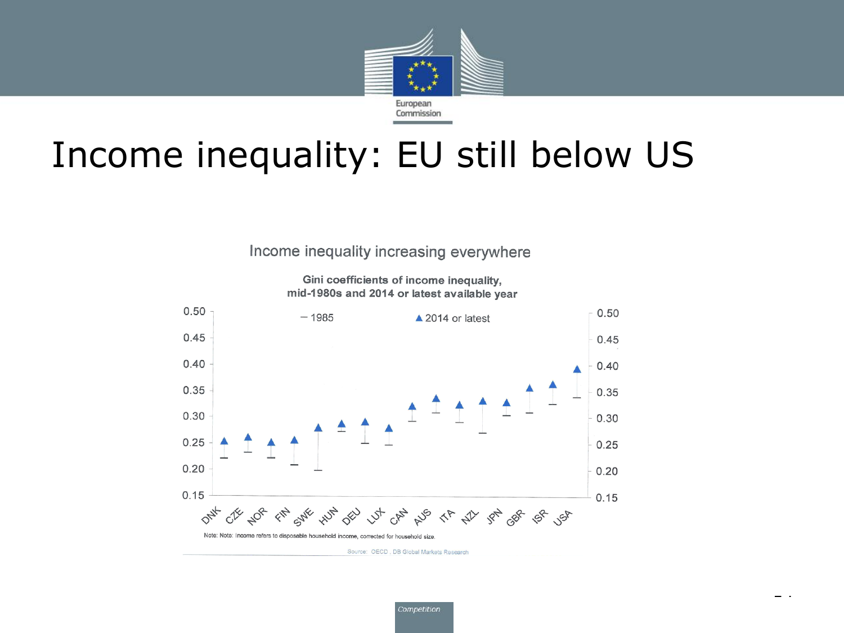

### Income inequality: EU still below US

Income inequality increasing everywhere

Gini coefficients of income inequality, mid-1980s and 2014 or latest available year



Source: OECD, DB Global Markets Research

- 1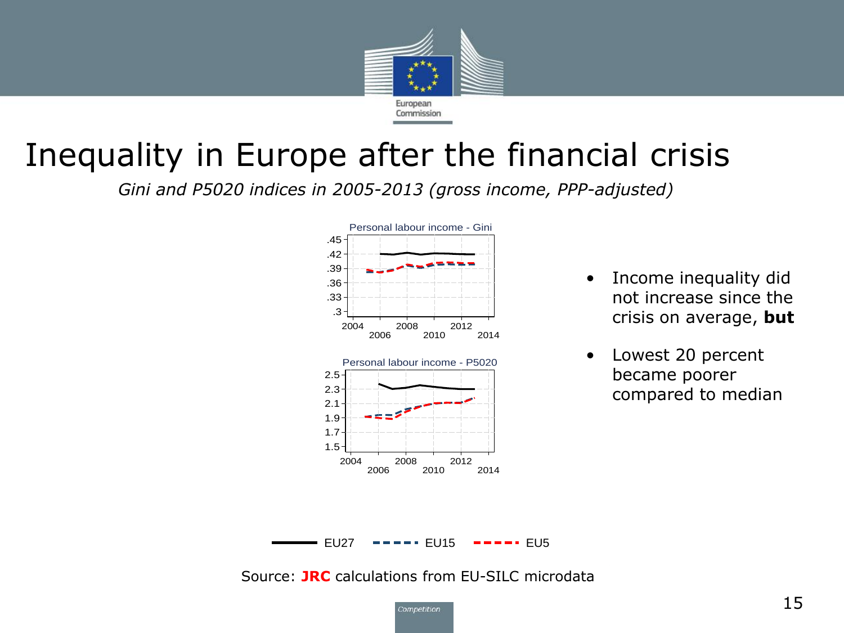

### Inequality in Europe after the financial crisis

*Gini and P5020 indices in 2005-2013 (gross income, PPP-adjusted)*



- Income inequality did not increase since the crisis on average, **but**
- Lowest 20 percent became poorer compared to median

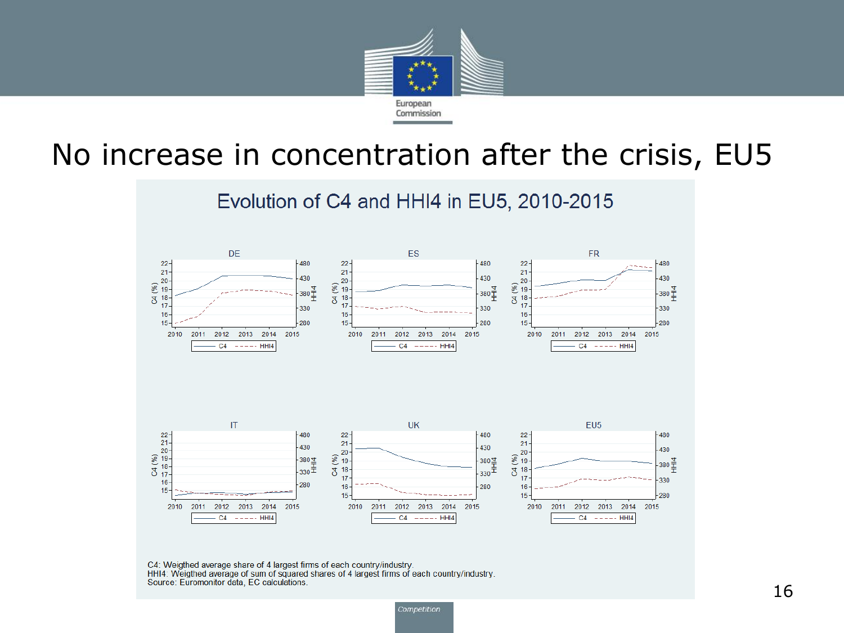

#### No increase in concentration after the crisis, EU5



C4: Weigthed average share of 4 largest firms of each country/industry. HHI4: Weigthed average of sum of squared shares of 4 largest firms of each country/industry. Source: Euromonitor data, EC calculations.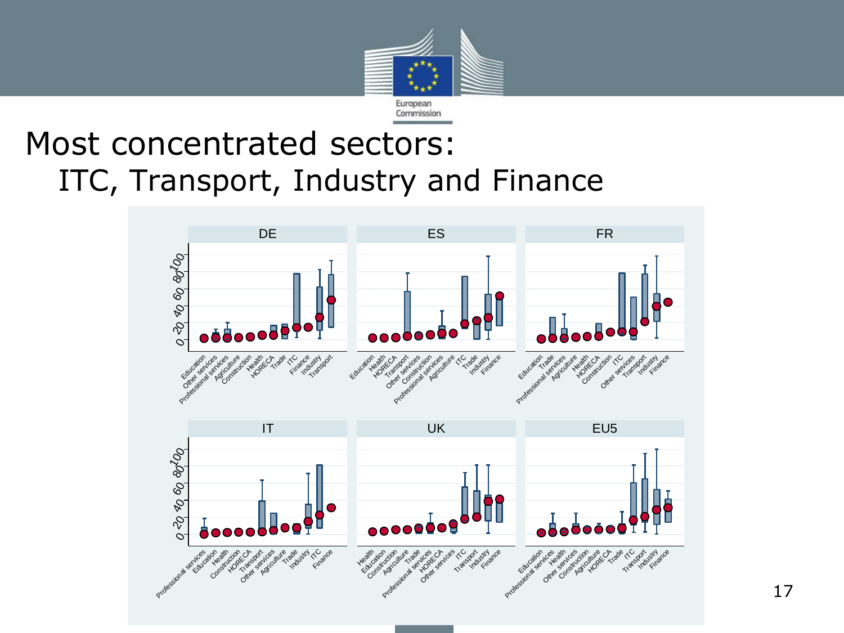

#### Most concentrated sectors: ITC, Transport, Industry and Finance



17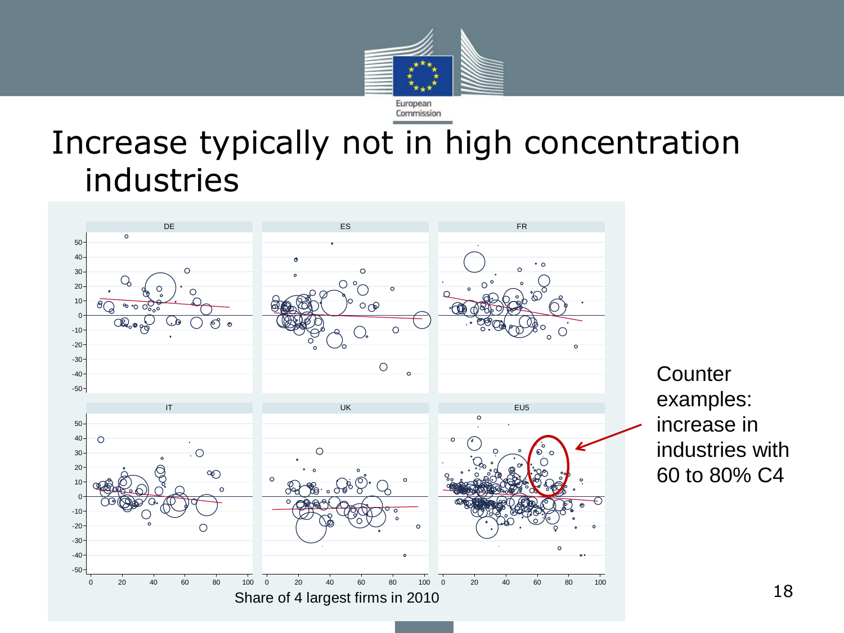

### Increase typically not in high concentration industries



**Counter** examples: increase in industries with 60 to 80% C4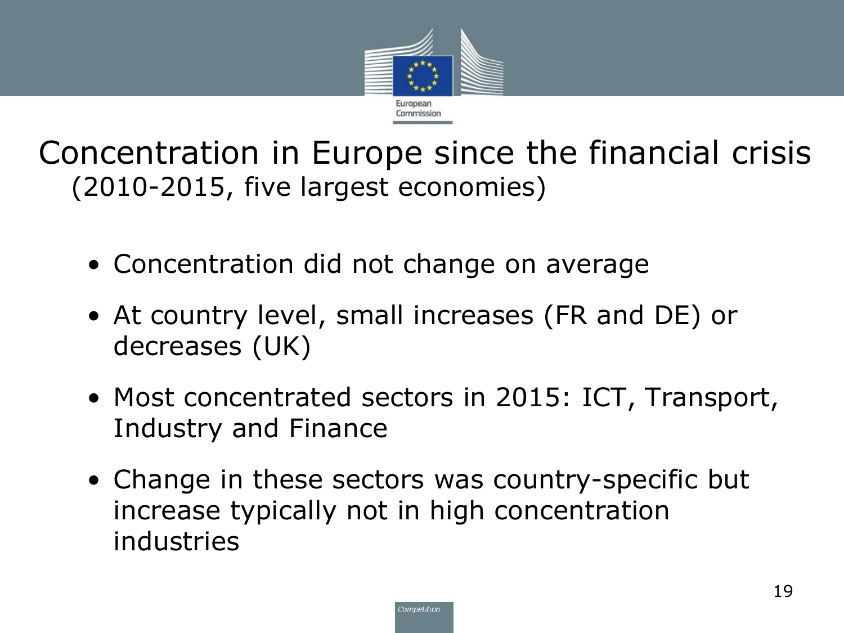

Concentration in Europe since the financial crisis (2010-2015, five largest economies)

- Concentration did not change on average
- At country level, small increases (FR and DE) or decreases (UK)
- Most concentrated sectors in 2015: ICT, Transport, Industry and Finance
- Change in these sectors was country-specific but increase typically not in high concentration industries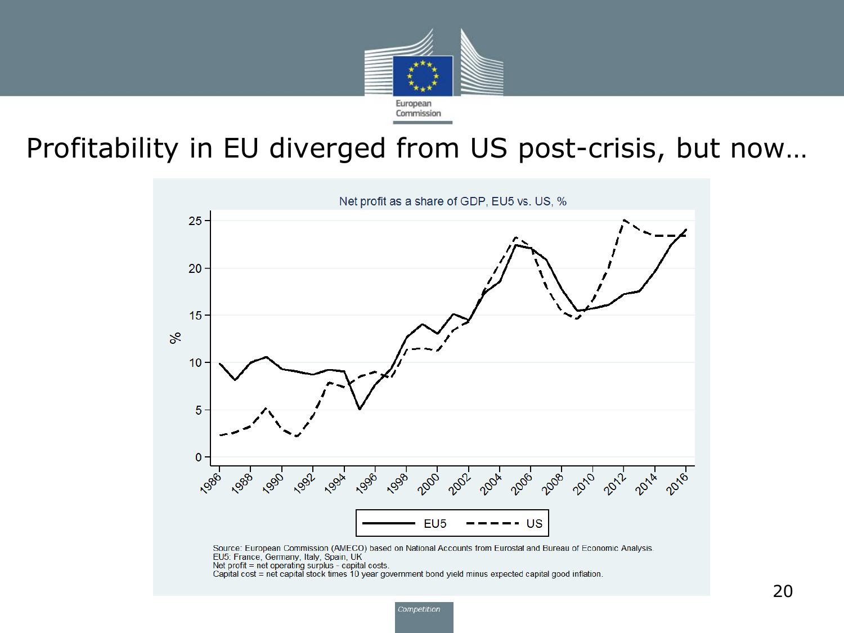

#### Profitability in EU diverged from US post-crisis, but now…

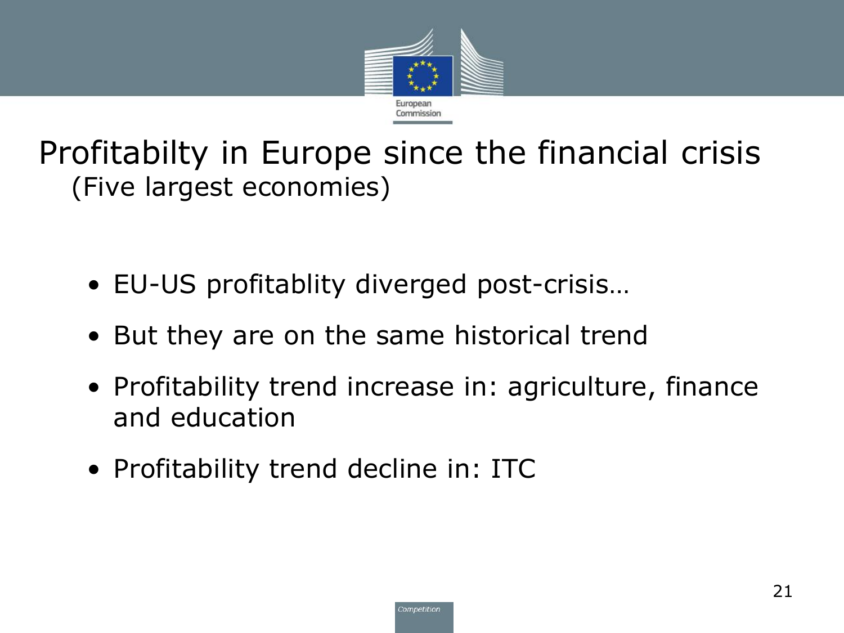

Profitabilty in Europe since the financial crisis (Five largest economies)

- EU-US profitablity diverged post-crisis…
- But they are on the same historical trend
- Profitability trend increase in: agriculture, finance and education
- Profitability trend decline in: ITC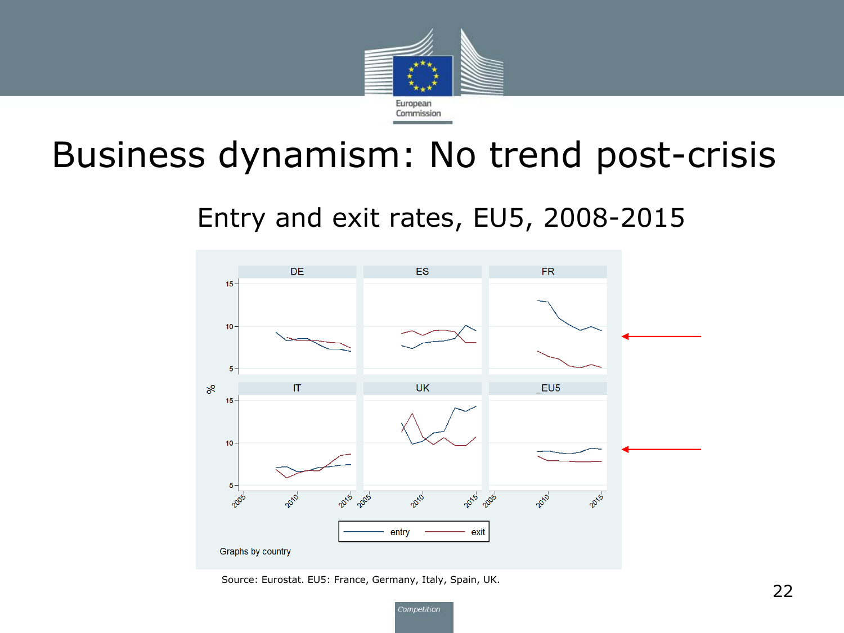

### Business dynamism: No trend post-crisis

#### Entry and exit rates, EU5, 2008-2015



Source: Eurostat. EU5: France, Germany, Italy, Spain, UK.

Competition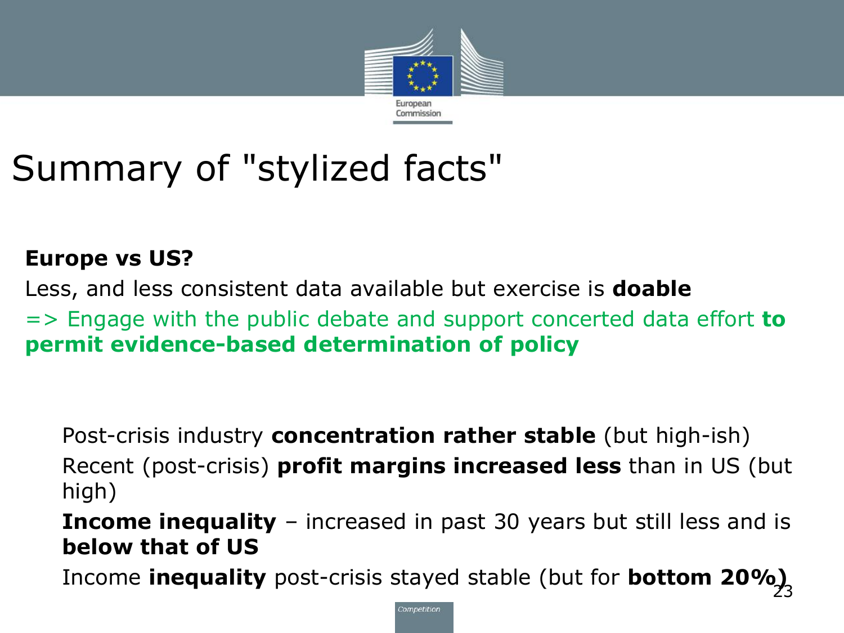

## Summary of "stylized facts"

#### **Europe vs US?**

Less, and less consistent data available but exercise is **doable**

=> Engage with the public debate and support concerted data effort **to permit evidence-based determination of policy**

Post-crisis industry **concentration rather stable** (but high-ish)

Recent (post-crisis) **profit margins increased less** than in US (but high)

**Income inequality** – increased in past 30 years but still less and is **below that of US**

Income **inequality** post-crisis stayed stable (but for **bottom 20%)** 23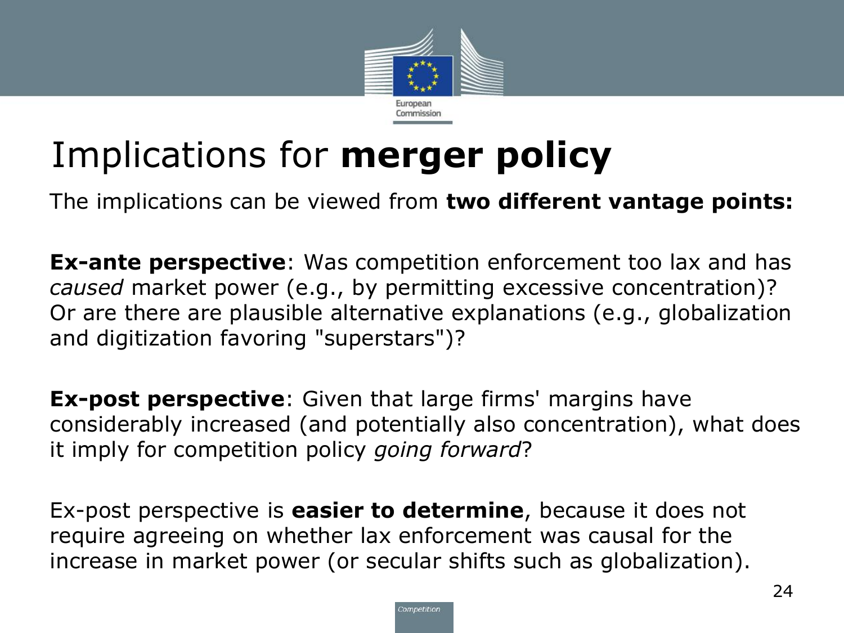

## Implications for **merger policy**

• The implications can be viewed from **two different vantage points:**

**Ex-ante perspective**: Was competition enforcement too lax and has *caused* market power (e.g., by permitting excessive concentration)? Or are there are plausible alternative explanations (e.g., globalization and digitization favoring "superstars")?

**Ex-post perspective**: Given that large firms' margins have considerably increased (and potentially also concentration), what does it imply for competition policy *going forward*?

• Ex-post perspective is **easier to determine**, because it does not require agreeing on whether lax enforcement was causal for the increase in market power (or secular shifts such as globalization).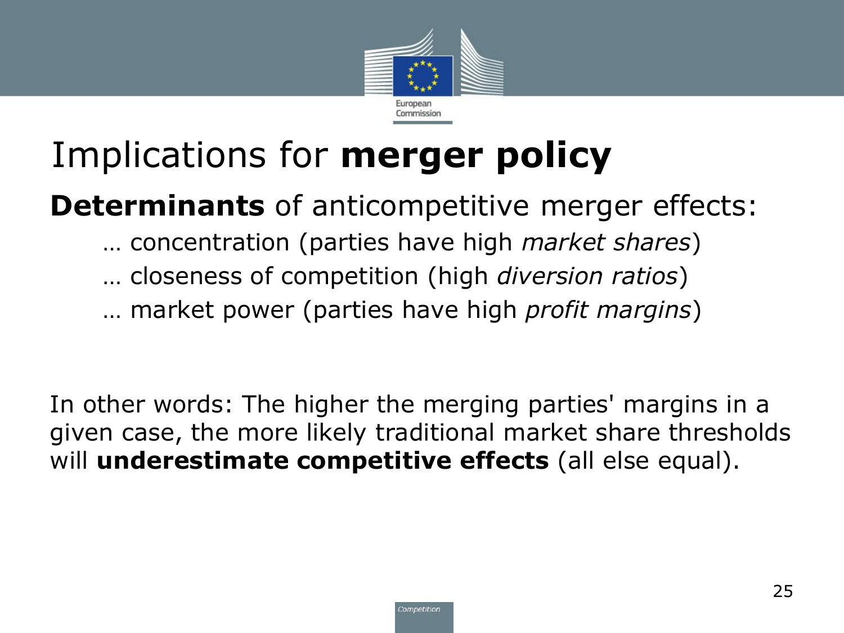

## Implications for **merger policy**

**Determinants** of anticompetitive merger effects:

- … concentration (parties have high *market shares*)
- … closeness of competition (high *diversion ratios*)
- … market power (parties have high *profit margins*)

In other words: The higher the merging parties' margins in a given case, the more likely traditional market share thresholds will **underestimate competitive effects** (all else equal).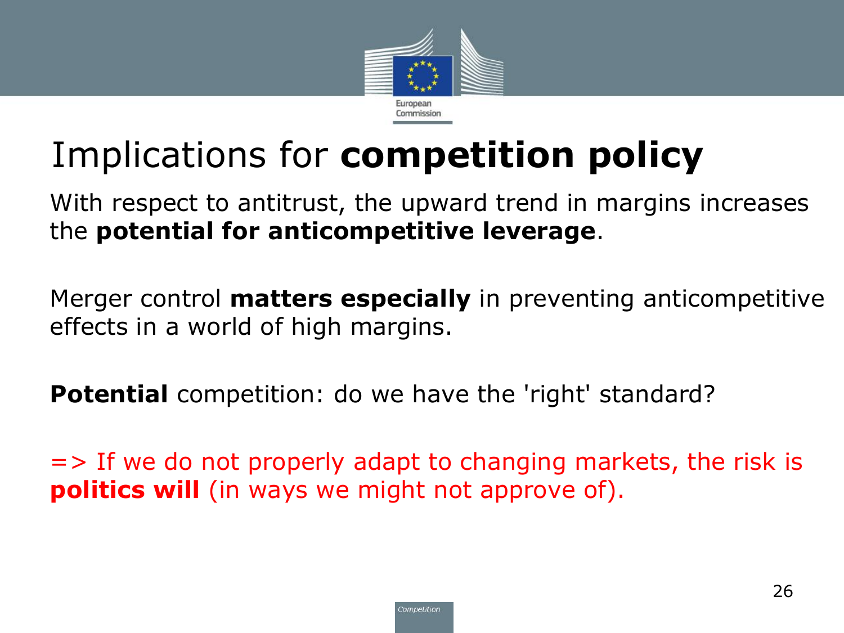

## Implications for **competition policy**

With respect to antitrust, the upward trend in margins increases the **potential for anticompetitive leverage**.

• Merger control **matters especially** in preventing anticompetitive effects in a world of high margins.

**Potential** competition: do we have the 'right' standard?

 $\Rightarrow$  If we do not properly adapt to changing markets, the risk is **politics will** (in ways we might not approve of).